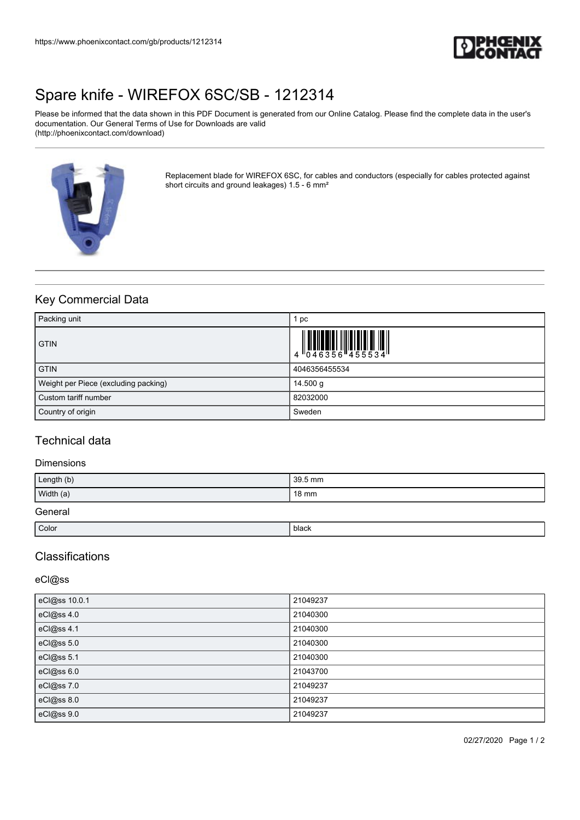

# [Spare knife - WIREFOX 6SC/SB - 1212314](https://www.phoenixcontact.com/gb/products/1212314)

Please be informed that the data shown in this PDF Document is generated from our Online Catalog. Please find the complete data in the user's documentation. Our General Terms of Use for Downloads are valid (http://phoenixcontact.com/download)



Replacement blade for WIREFOX 6SC, for cables and conductors (especially for cables protected against short circuits and ground leakages) 1.5 - 6 mm²

# Key Commercial Data

| Packing unit                         | pc                                                                        |
|--------------------------------------|---------------------------------------------------------------------------|
| <b>GTIN</b>                          | $\begin{array}{c} 1 & 0 & 0 & 0 \\ 0 & 0 & 4 & 6 & 3 & 5 & 6 \end{array}$ |
| <b>GTIN</b>                          | 4046356455534                                                             |
| Weight per Piece (excluding packing) | 14.500 $q$                                                                |
| l Custom tariff number               | 82032000                                                                  |
| Country of origin                    | Sweden                                                                    |

### Technical data

### Dimensions

| Length (b) | 39.5 mm |  |
|------------|---------|--|
| Width (a)  | 18 mm   |  |
| General    |         |  |
| Color      | black   |  |

### **Classifications**

### eCl@ss

| eCl@ss 10.0.1 | 21049237 |
|---------------|----------|
| eCl@ss 4.0    | 21040300 |
| eCl@ss 4.1    | 21040300 |
| eCl@ss 5.0    | 21040300 |
| eCl@ss 5.1    | 21040300 |
| eCl@ss 6.0    | 21043700 |
| eCl@ss7.0     | 21049237 |
| eCl@ss 8.0    | 21049237 |
| eCl@ss 9.0    | 21049237 |